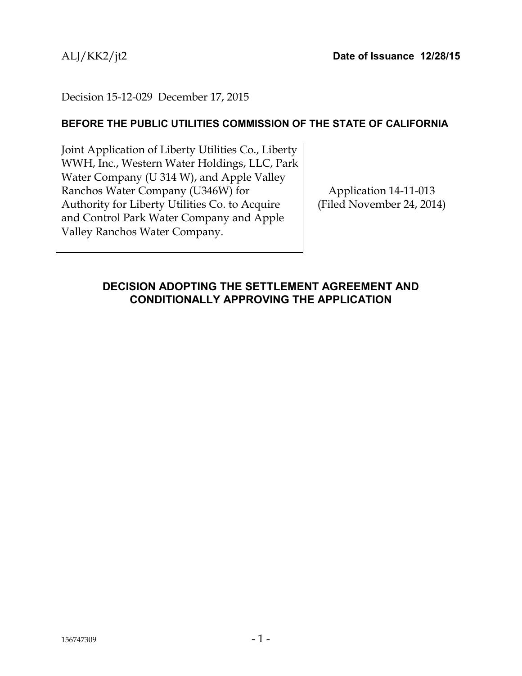## Decision 15-12-029 December 17, 2015

## **BEFORE THE PUBLIC UTILITIES COMMISSION OF THE STATE OF CALIFORNIA**

Joint Application of Liberty Utilities Co., Liberty WWH, Inc., Western Water Holdings, LLC, Park Water Company (U 314 W), and Apple Valley Ranchos Water Company (U346W) for Authority for Liberty Utilities Co. to Acquire and Control Park Water Company and Apple Valley Ranchos Water Company.

Application 14-11-013 (Filed November 24, 2014)

# <span id="page-0-0"></span>**DECISION ADOPTING THE SETTLEMENT AGREEMENT AND CONDITIONALLY APPROVING THE APPLICATION**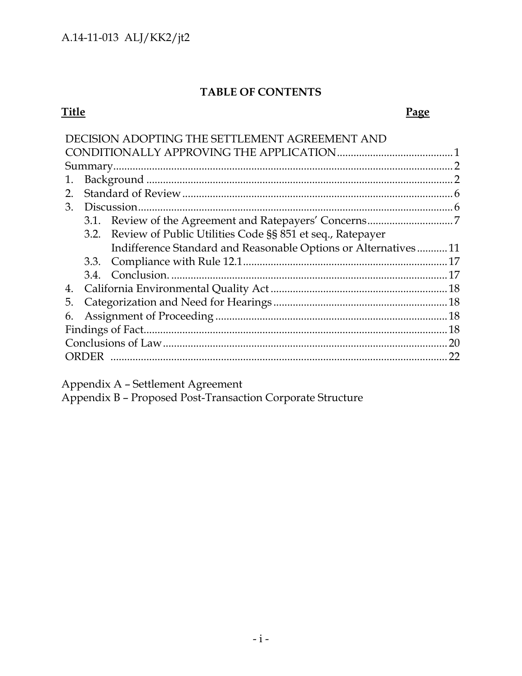# **TABLE OF CONTENTS**

## **Title Page**

| DECISION ADOPTING THE SETTLEMENT AGREEMENT AND                 |    |
|----------------------------------------------------------------|----|
|                                                                |    |
|                                                                |    |
| 1.                                                             |    |
| 2.                                                             |    |
| 3.                                                             |    |
|                                                                |    |
| 3.2. Review of Public Utilities Code §§ 851 et seq., Ratepayer |    |
| Indifference Standard and Reasonable Options or Alternatives11 |    |
|                                                                |    |
|                                                                |    |
| 4.                                                             |    |
| 5.                                                             |    |
| 6.                                                             |    |
|                                                                |    |
|                                                                | 20 |
| ORDER                                                          | 22 |

Appendix A – Settlement Agreement

Appendix B – Proposed Post-Transaction Corporate Structure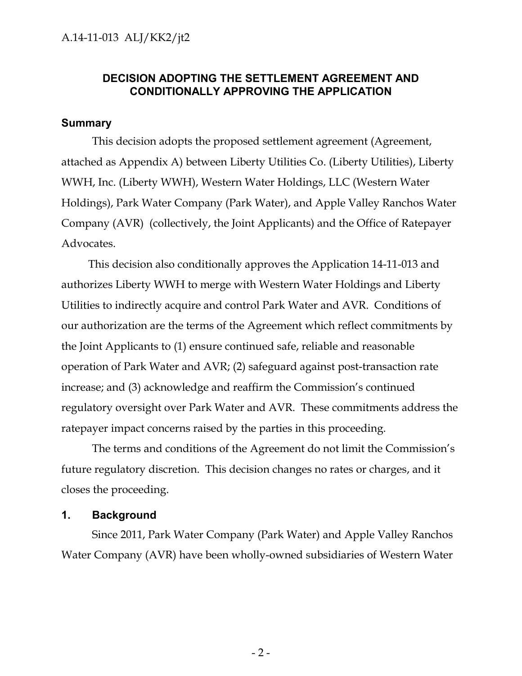## **DECISION ADOPTING THE SETTLEMENT AGREEMENT AND CONDITIONALLY APPROVING THE APPLICATION**

#### <span id="page-2-0"></span>**Summary**

This decision adopts the proposed settlement agreement (Agreement, attached as Appendix A) between Liberty Utilities Co. (Liberty Utilities), Liberty WWH, Inc. (Liberty WWH), Western Water Holdings, LLC (Western Water Holdings), Park Water Company (Park Water), and Apple Valley Ranchos Water Company (AVR) (collectively, the Joint Applicants) and the Office of Ratepayer Advocates.

This decision also conditionally approves the Application 14-11-013 and authorizes Liberty WWH to merge with Western Water Holdings and Liberty Utilities to indirectly acquire and control Park Water and AVR. Conditions of our authorization are the terms of the Agreement which reflect commitments by the Joint Applicants to (1) ensure continued safe, reliable and reasonable operation of Park Water and AVR; (2) safeguard against post-transaction rate increase; and (3) acknowledge and reaffirm the Commission's continued regulatory oversight over Park Water and AVR. These commitments address the ratepayer impact concerns raised by the parties in this proceeding.

The terms and conditions of the Agreement do not limit the Commission's future regulatory discretion. This decision changes no rates or charges, and it closes the proceeding.

#### <span id="page-2-1"></span>**1. Background**

Since 2011, Park Water Company (Park Water) and Apple Valley Ranchos Water Company (AVR) have been wholly-owned subsidiaries of Western Water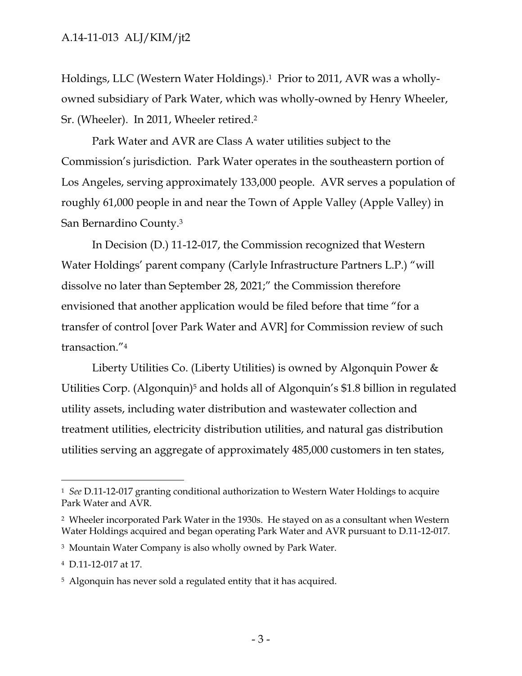Holdings, LLC (Western Water Holdings). 1 Prior to 2011, AVR was a whollyowned subsidiary of Park Water, which was wholly-owned by Henry Wheeler, Sr. (Wheeler). In 2011, Wheeler retired. 2

Park Water and AVR are Class A water utilities subject to the Commission's jurisdiction. Park Water operates in the southeastern portion of Los Angeles, serving approximately 133,000 people. AVR serves a population of roughly 61,000 people in and near the Town of Apple Valley (Apple Valley) in San Bernardino County.<sup>3</sup>

In Decision (D.) 11-12-017, the Commission recognized that Western Water Holdings' parent company (Carlyle Infrastructure Partners L.P.) "will dissolve no later than September 28, 2021;" the Commission therefore envisioned that another application would be filed before that time "for a transfer of control [over Park Water and AVR] for Commission review of such transaction."<sup>4</sup>

Liberty Utilities Co. (Liberty Utilities) is owned by Algonquin Power & Utilities Corp. (Algonquin)<sup>5</sup> and holds all of Algonquin's \$1.8 billion in regulated utility assets, including water distribution and wastewater collection and treatment utilities, electricity distribution utilities, and natural gas distribution utilities serving an aggregate of approximately 485,000 customers in ten states,

 $\overline{a}$ 

<sup>1</sup> *See* D.11-12-017 granting conditional authorization to Western Water Holdings to acquire Park Water and AVR.

<sup>2</sup> Wheeler incorporated Park Water in the 1930s. He stayed on as a consultant when Western Water Holdings acquired and began operating Park Water and AVR pursuant to D.11-12-017.

<sup>3</sup> Mountain Water Company is also wholly owned by Park Water.

<sup>4</sup> D.11-12-017 at 17.

<sup>&</sup>lt;sup>5</sup> Algonquin has never sold a regulated entity that it has acquired.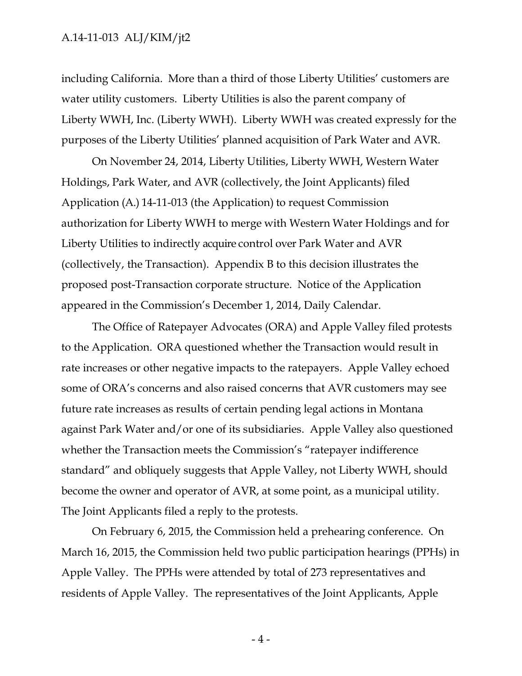including California. More than a third of those Liberty Utilities' customers are water utility customers. Liberty Utilities is also the parent company of Liberty WWH, Inc. (Liberty WWH). Liberty WWH was created expressly for the purposes of the Liberty Utilities' planned acquisition of Park Water and AVR.

On November 24, 2014, Liberty Utilities, Liberty WWH, Western Water Holdings, Park Water, and AVR (collectively, the Joint Applicants) filed Application (A.) 14-11-013 (the Application) to request Commission authorization for Liberty WWH to merge with Western Water Holdings and for Liberty Utilities to indirectly acquire control over Park Water and AVR (collectively, the Transaction). Appendix B to this decision illustrates the proposed post-Transaction corporate structure. Notice of the Application appeared in the Commission's December 1, 2014, Daily Calendar.

The Office of Ratepayer Advocates (ORA) and Apple Valley filed protests to the Application. ORA questioned whether the Transaction would result in rate increases or other negative impacts to the ratepayers. Apple Valley echoed some of ORA's concerns and also raised concerns that AVR customers may see future rate increases as results of certain pending legal actions in Montana against Park Water and/or one of its subsidiaries. Apple Valley also questioned whether the Transaction meets the Commission's "ratepayer indifference standard" and obliquely suggests that Apple Valley, not Liberty WWH, should become the owner and operator of AVR, at some point, as a municipal utility. The Joint Applicants filed a reply to the protests.

On February 6, 2015, the Commission held a prehearing conference. On March 16, 2015, the Commission held two public participation hearings (PPHs) in Apple Valley. The PPHs were attended by total of 273 representatives and residents of Apple Valley. The representatives of the Joint Applicants, Apple

- 4 -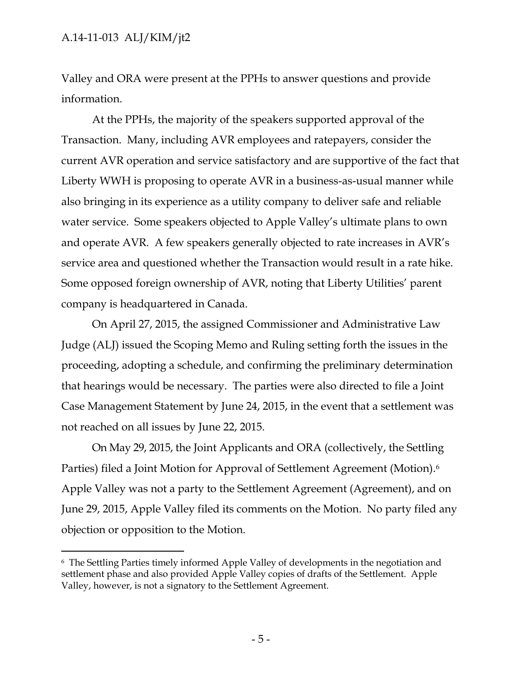$\overline{a}$ 

Valley and ORA were present at the PPHs to answer questions and provide information.

At the PPHs, the majority of the speakers supported approval of the Transaction. Many, including AVR employees and ratepayers, consider the current AVR operation and service satisfactory and are supportive of the fact that Liberty WWH is proposing to operate AVR in a business-as-usual manner while also bringing in its experience as a utility company to deliver safe and reliable water service. Some speakers objected to Apple Valley's ultimate plans to own and operate AVR. A few speakers generally objected to rate increases in AVR's service area and questioned whether the Transaction would result in a rate hike. Some opposed foreign ownership of AVR, noting that Liberty Utilities' parent company is headquartered in Canada.

On April 27, 2015, the assigned Commissioner and Administrative Law Judge (ALJ) issued the Scoping Memo and Ruling setting forth the issues in the proceeding, adopting a schedule, and confirming the preliminary determination that hearings would be necessary. The parties were also directed to file a Joint Case Management Statement by June 24, 2015, in the event that a settlement was not reached on all issues by June 22, 2015.

On May 29, 2015, the Joint Applicants and ORA (collectively, the Settling Parties) filed a Joint Motion for Approval of Settlement Agreement (Motion). 6 Apple Valley was not a party to the Settlement Agreement (Agreement), and on June 29, 2015, Apple Valley filed its comments on the Motion. No party filed any objection or opposition to the Motion.

<sup>6</sup> The Settling Parties timely informed Apple Valley of developments in the negotiation and settlement phase and also provided Apple Valley copies of drafts of the Settlement. Apple Valley, however, is not a signatory to the Settlement Agreement.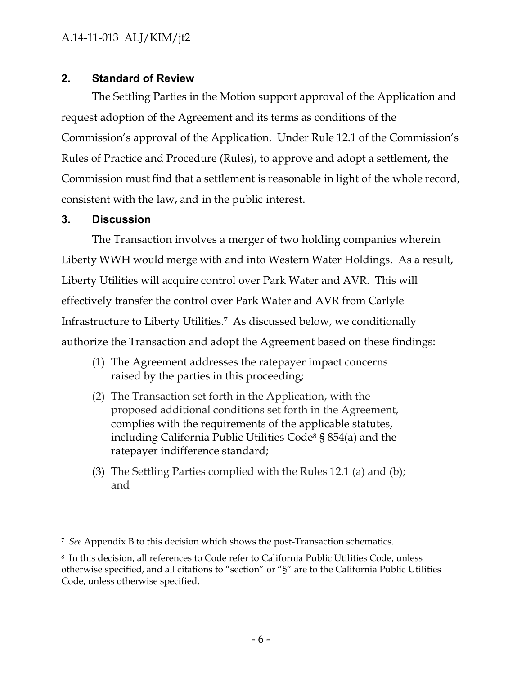# <span id="page-6-0"></span>**2. Standard of Review**

The Settling Parties in the Motion support approval of the Application and request adoption of the Agreement and its terms as conditions of the Commission's approval of the Application. Under Rule 12.1 of the Commission's Rules of Practice and Procedure (Rules), to approve and adopt a settlement, the Commission must find that a settlement is reasonable in light of the whole record, consistent with the law, and in the public interest.

# <span id="page-6-1"></span>**3. Discussion**

 $\overline{a}$ 

The Transaction involves a merger of two holding companies wherein Liberty WWH would merge with and into Western Water Holdings. As a result, Liberty Utilities will acquire control over Park Water and AVR. This will effectively transfer the control over Park Water and AVR from Carlyle Infrastructure to Liberty Utilities. <sup>7</sup> As discussed below, we conditionally authorize the Transaction and adopt the Agreement based on these findings:

- (1) The Agreement addresses the ratepayer impact concerns raised by the parties in this proceeding;
- (2) The Transaction set forth in the Application, with the proposed additional conditions set forth in the Agreement, complies with the requirements of the applicable statutes, including California Public Utilities Code<sup>8</sup> § 854(a) and the ratepayer indifference standard;
- (3) The Settling Parties complied with the Rules 12.1 (a) and (b); and

<sup>7</sup> *See* Appendix B to this decision which shows the post-Transaction schematics.

<sup>8</sup> In this decision, all references to Code refer to California Public Utilities Code, unless otherwise specified, and all citations to "section" or "§" are to the California Public Utilities Code, unless otherwise specified.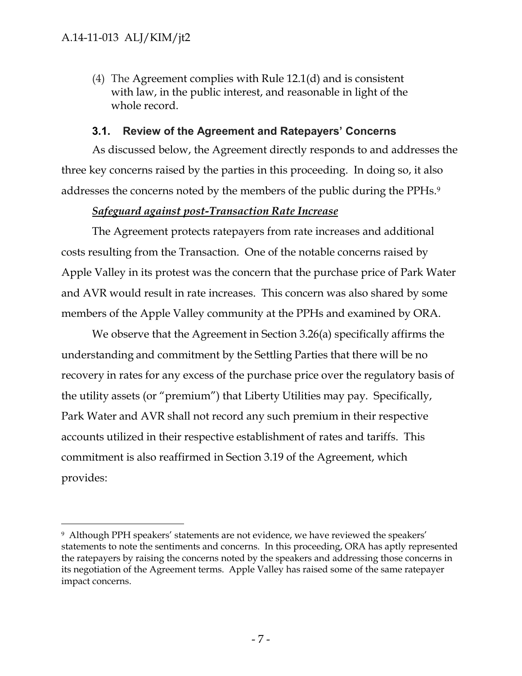$\overline{a}$ 

(4) The Agreement complies with Rule 12.1(d) and is consistent with law, in the public interest, and reasonable in light of the whole record.

## **3.1. Review of the Agreement and Ratepayers' Concerns**

<span id="page-7-0"></span>As discussed below, the Agreement directly responds to and addresses the three key concerns raised by the parties in this proceeding. In doing so, it also addresses the concerns noted by the members of the public during the PPHs.<sup>9</sup>

# *Safeguard against post-Transaction Rate Increase*

The Agreement protects ratepayers from rate increases and additional costs resulting from the Transaction. One of the notable concerns raised by Apple Valley in its protest was the concern that the purchase price of Park Water and AVR would result in rate increases. This concern was also shared by some members of the Apple Valley community at the PPHs and examined by ORA.

We observe that the Agreement in Section 3.26(a) specifically affirms the understanding and commitment by the Settling Parties that there will be no recovery in rates for any excess of the purchase price over the regulatory basis of the utility assets (or "premium") that Liberty Utilities may pay. Specifically, Park Water and AVR shall not record any such premium in their respective accounts utilized in their respective establishment of rates and tariffs. This commitment is also reaffirmed in Section 3.19 of the Agreement, which provides:

<sup>9</sup> Although PPH speakers' statements are not evidence, we have reviewed the speakers' statements to note the sentiments and concerns. In this proceeding, ORA has aptly represented the ratepayers by raising the concerns noted by the speakers and addressing those concerns in its negotiation of the Agreement terms. Apple Valley has raised some of the same ratepayer impact concerns.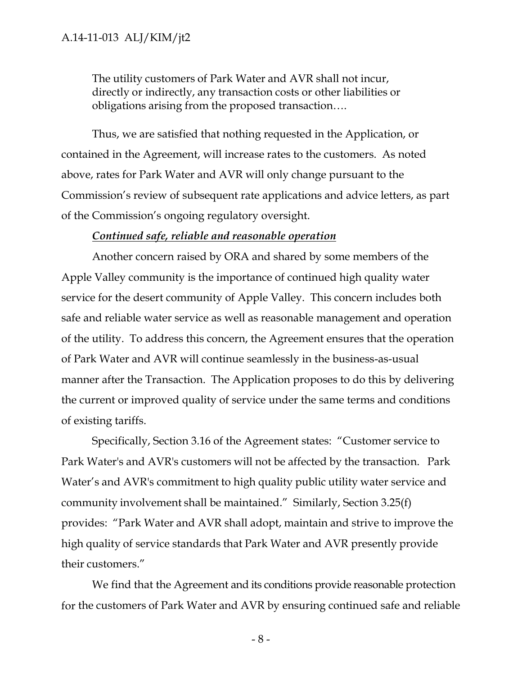The utility customers of Park Water and AVR shall not incur, directly or indirectly, any transaction costs or other liabilities or obligations arising from the proposed transaction….

Thus, we are satisfied that nothing requested in the Application, or contained in the Agreement, will increase rates to the customers. As noted above, rates for Park Water and AVR will only change pursuant to the Commission's review of subsequent rate applications and advice letters, as part of the Commission's ongoing regulatory oversight.

## *Continued safe, reliable and reasonable operation*

Another concern raised by ORA and shared by some members of the Apple Valley community is the importance of continued high quality water service for the desert community of Apple Valley. This concern includes both safe and reliable water service as well as reasonable management and operation of the utility. To address this concern, the Agreement ensures that the operation of Park Water and AVR will continue seamlessly in the business-as-usual manner after the Transaction. The Application proposes to do this by delivering the current or improved quality of service under the same terms and conditions of existing tariffs.

Specifically, Section 3.16 of the Agreement states: "Customer service to Park Water's and AVR's customers will not be affected by the transaction. Park Water's and AVR's commitment to high quality public utility water service and community involvement shall be maintained." Similarly, Section 3.25(f) provides: "Park Water and AVR shall adopt, maintain and strive to improve the high quality of service standards that Park Water and AVR presently provide their customers."

We find that the Agreement and its conditions provide reasonable protection for the customers of Park Water and AVR by ensuring continued safe and reliable

- 8 -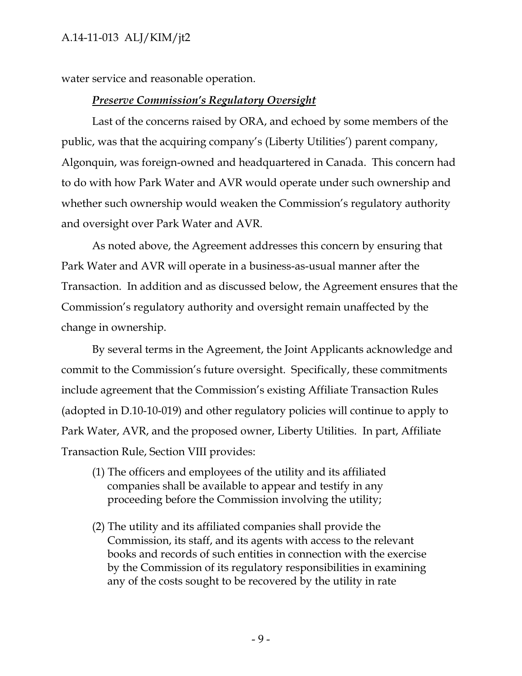water service and reasonable operation.

## *Preserve Commission's Regulatory Oversight*

Last of the concerns raised by ORA, and echoed by some members of the public, was that the acquiring company's (Liberty Utilities') parent company, Algonquin, was foreign-owned and headquartered in Canada. This concern had to do with how Park Water and AVR would operate under such ownership and whether such ownership would weaken the Commission's regulatory authority and oversight over Park Water and AVR.

As noted above, the Agreement addresses this concern by ensuring that Park Water and AVR will operate in a business-as-usual manner after the Transaction. In addition and as discussed below, the Agreement ensures that the Commission's regulatory authority and oversight remain unaffected by the change in ownership.

By several terms in the Agreement, the Joint Applicants acknowledge and commit to the Commission's future oversight. Specifically, these commitments include agreement that the Commission's existing Affiliate Transaction Rules (adopted in D.10-10-019) and other regulatory policies will continue to apply to Park Water, AVR, and the proposed owner, Liberty Utilities. In part, Affiliate Transaction Rule, Section VIII provides:

- (1) The officers and employees of the utility and its affiliated companies shall be available to appear and testify in any proceeding before the Commission involving the utility;
- (2) The utility and its affiliated companies shall provide the Commission, its staff, and its agents with access to the relevant books and records of such entities in connection with the exercise by the Commission of its regulatory responsibilities in examining any of the costs sought to be recovered by the utility in rate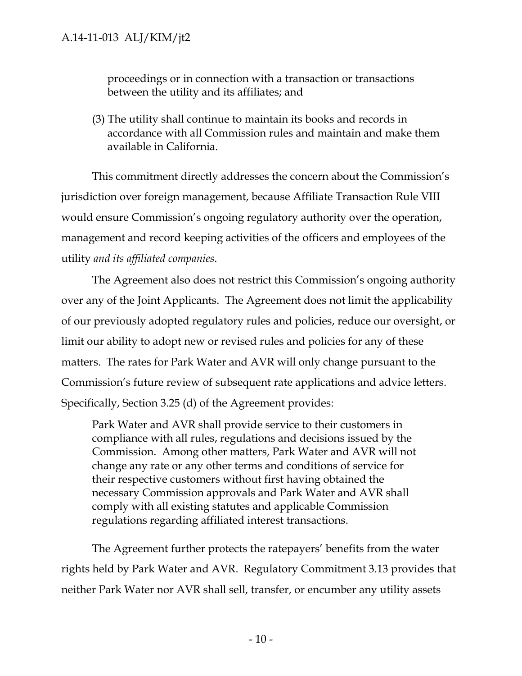proceedings or in connection with a transaction or transactions between the utility and its affiliates; and

(3) The utility shall continue to maintain its books and records in accordance with all Commission rules and maintain and make them available in California.

This commitment directly addresses the concern about the Commission's jurisdiction over foreign management, because Affiliate Transaction Rule VIII would ensure Commission's ongoing regulatory authority over the operation, management and record keeping activities of the officers and employees of the utility *and its affiliated companies*.

The Agreement also does not restrict this Commission's ongoing authority over any of the Joint Applicants. The Agreement does not limit the applicability of our previously adopted regulatory rules and policies, reduce our oversight, or limit our ability to adopt new or revised rules and policies for any of these matters. The rates for Park Water and AVR will only change pursuant to the Commission's future review of subsequent rate applications and advice letters. Specifically, Section 3.25 (d) of the Agreement provides:

Park Water and AVR shall provide service to their customers in compliance with all rules, regulations and decisions issued by the Commission. Among other matters, Park Water and AVR will not change any rate or any other terms and conditions of service for their respective customers without first having obtained the necessary Commission approvals and Park Water and AVR shall comply with all existing statutes and applicable Commission regulations regarding affiliated interest transactions.

The Agreement further protects the ratepayers' benefits from the water rights held by Park Water and AVR. Regulatory Commitment 3.13 provides that neither Park Water nor AVR shall sell, transfer, or encumber any utility assets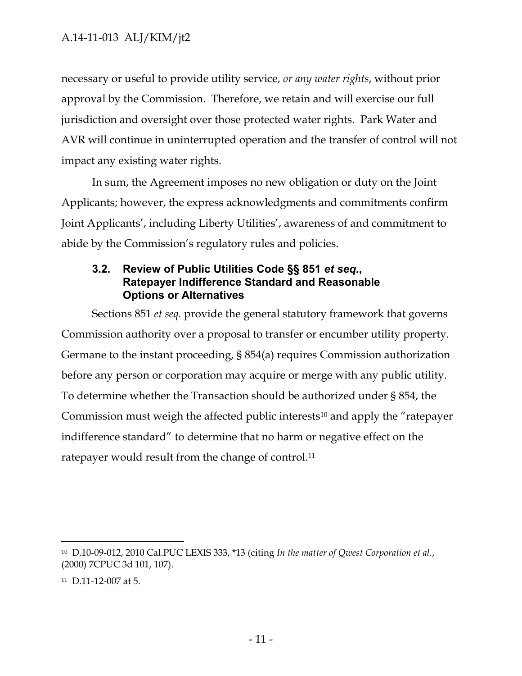necessary or useful to provide utility service, *or any water rights*, without prior approval by the Commission. Therefore, we retain and will exercise our full jurisdiction and oversight over those protected water rights. Park Water and AVR will continue in uninterrupted operation and the transfer of control will not impact any existing water rights.

In sum, the Agreement imposes no new obligation or duty on the Joint Applicants; however, the express acknowledgments and commitments confirm Joint Applicants', including Liberty Utilities', awareness of and commitment to abide by the Commission's regulatory rules and policies.

## <span id="page-11-0"></span>**3.2. Review of Public Utilities Code §§ 851** *et seq.***, Ratepayer Indifference Standard and Reasonable Options or Alternatives**

Sections 851 *et seq.* provide the general statutory framework that governs Commission authority over a proposal to transfer or encumber utility property. Germane to the instant proceeding, § 854(a) requires Commission authorization before any person or corporation may acquire or merge with any public utility. To determine whether the Transaction should be authorized under § 854, the Commission must weigh the affected public interests<sup>10</sup> and apply the "ratepayer indifference standard" to determine that no harm or negative effect on the ratepayer would result from the change of control.<sup>11</sup>

 $\overline{a}$ 

<sup>10</sup> D.10-09-012, 2010 Cal.PUC LEXIS 333, \*13 (citing *In the matter of Qwest Corporation et al.*, (2000) 7CPUC 3d 101, 107).

<sup>11</sup> D.11-12-007 at 5.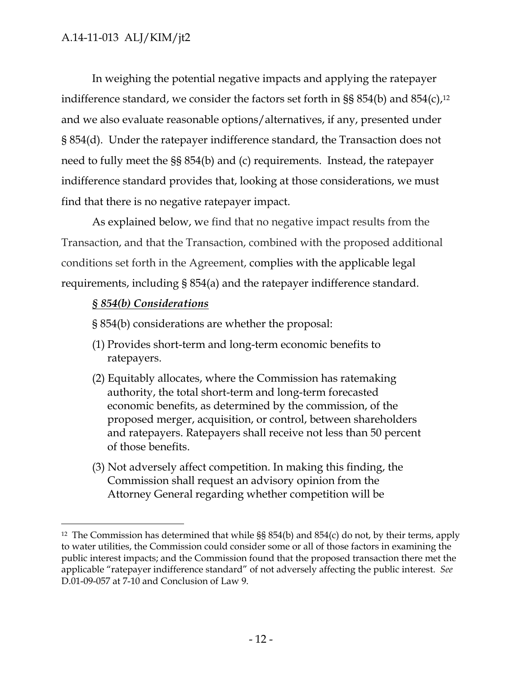In weighing the potential negative impacts and applying the ratepayer indifference standard, we consider the factors set forth in §§ 854(b) and 854(c), 12 and we also evaluate reasonable options/alternatives, if any, presented under § 854(d). Under the ratepayer indifference standard, the Transaction does not need to fully meet the §§ 854(b) and (c) requirements. Instead, the ratepayer indifference standard provides that, looking at those considerations, we must find that there is no negative ratepayer impact.

As explained below, we find that no negative impact results from the Transaction, and that the Transaction, combined with the proposed additional conditions set forth in the Agreement, complies with the applicable legal requirements, including § 854(a) and the ratepayer indifference standard.

# *§ 854(b) Considerations*

 $\overline{a}$ 

- § 854(b) considerations are whether the proposal:
- (1) Provides short-term and long-term economic benefits to ratepayers.
- (2) Equitably allocates, where the Commission has ratemaking authority, the total short-term and long-term forecasted economic benefits, as determined by the commission, of the proposed merger, acquisition, or control, between shareholders and ratepayers. Ratepayers shall receive not less than 50 percent of those benefits.
- (3) Not adversely affect competition. In making this finding, the Commission shall request an advisory opinion from the Attorney General regarding whether competition will be

<sup>&</sup>lt;sup>12</sup> The Commission has determined that while  $\S$ § 854(b) and 854(c) do not, by their terms, apply to water utilities, the Commission could consider some or all of those factors in examining the public interest impacts; and the Commission found that the proposed transaction there met the applicable "ratepayer indifference standard" of not adversely affecting the public interest. *See* D.01-09-057 at 7-10 and Conclusion of Law 9.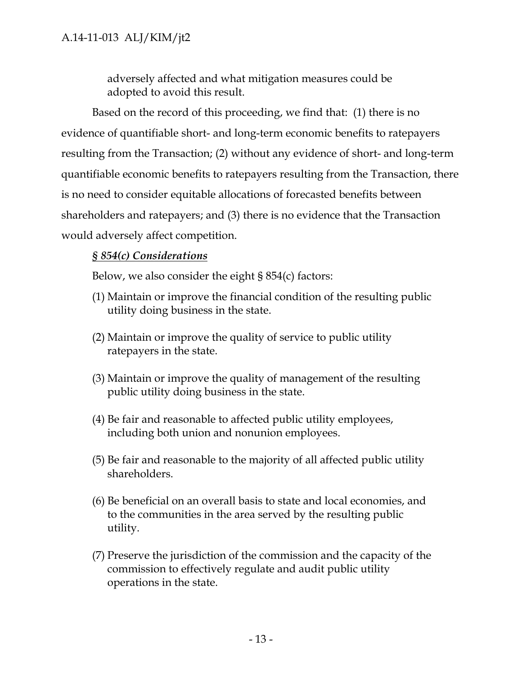adversely affected and what mitigation measures could be adopted to avoid this result.

Based on the record of this proceeding, we find that: (1) there is no evidence of quantifiable short- and long-term economic benefits to ratepayers resulting from the Transaction; (2) without any evidence of short- and long-term quantifiable economic benefits to ratepayers resulting from the Transaction, there is no need to consider equitable allocations of forecasted benefits between shareholders and ratepayers; and (3) there is no evidence that the Transaction would adversely affect competition.

# *§ 854(c) Considerations*

Below, we also consider the eight § 854(c) factors:

- (1) Maintain or improve the financial condition of the resulting public utility doing business in the state.
- (2) Maintain or improve the quality of service to public utility ratepayers in the state.
- (3) Maintain or improve the quality of management of the resulting public utility doing business in the state.
- (4) Be fair and reasonable to affected public utility employees, including both union and nonunion employees.
- (5) Be fair and reasonable to the majority of all affected public utility shareholders.
- (6) Be beneficial on an overall basis to state and local economies, and to the communities in the area served by the resulting public utility.
- (7) Preserve the jurisdiction of the commission and the capacity of the commission to effectively regulate and audit public utility operations in the state.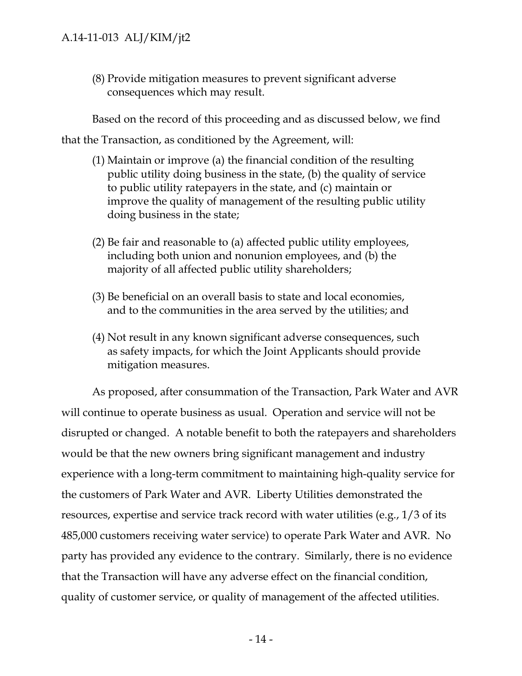(8) Provide mitigation measures to prevent significant adverse consequences which may result.

Based on the record of this proceeding and as discussed below, we find that the Transaction, as conditioned by the Agreement, will:

- (1) Maintain or improve (a) the financial condition of the resulting public utility doing business in the state, (b) the quality of service to public utility ratepayers in the state, and (c) maintain or improve the quality of management of the resulting public utility doing business in the state;
- (2) Be fair and reasonable to (a) affected public utility employees, including both union and nonunion employees, and (b) the majority of all affected public utility shareholders;
- (3) Be beneficial on an overall basis to state and local economies, and to the communities in the area served by the utilities; and
- (4) Not result in any known significant adverse consequences, such as safety impacts, for which the Joint Applicants should provide mitigation measures.

As proposed, after consummation of the Transaction, Park Water and AVR will continue to operate business as usual. Operation and service will not be disrupted or changed. A notable benefit to both the ratepayers and shareholders would be that the new owners bring significant management and industry experience with a long-term commitment to maintaining high-quality service for the customers of Park Water and AVR. Liberty Utilities demonstrated the resources, expertise and service track record with water utilities (e.g., 1/3 of its 485,000 customers receiving water service) to operate Park Water and AVR. No party has provided any evidence to the contrary. Similarly, there is no evidence that the Transaction will have any adverse effect on the financial condition, quality of customer service, or quality of management of the affected utilities.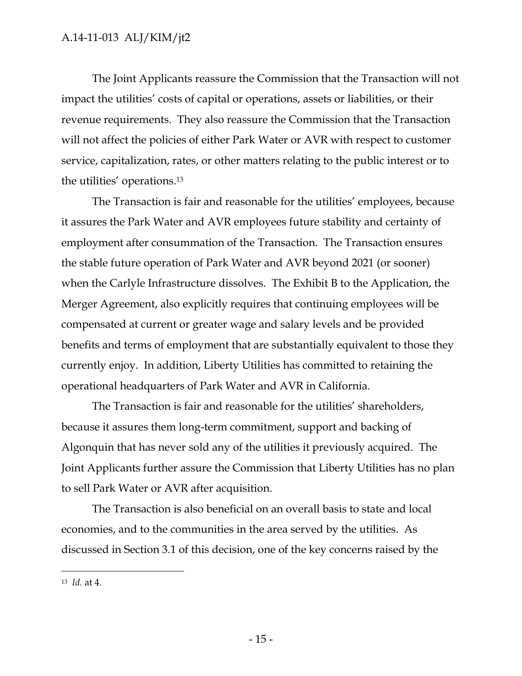The Joint Applicants reassure the Commission that the Transaction will not impact the utilities' costs of capital or operations, assets or liabilities, or their revenue requirements. They also reassure the Commission that the Transaction will not affect the policies of either Park Water or AVR with respect to customer service, capitalization, rates, or other matters relating to the public interest or to the utilities' operations.<sup>13</sup>

The Transaction is fair and reasonable for the utilities' employees, because it assures the Park Water and AVR employees future stability and certainty of employment after consummation of the Transaction. The Transaction ensures the stable future operation of Park Water and AVR beyond 2021 (or sooner) when the Carlyle Infrastructure dissolves. The Exhibit B to the Application, the Merger Agreement, also explicitly requires that continuing employees will be compensated at current or greater wage and salary levels and be provided benefits and terms of employment that are substantially equivalent to those they currently enjoy. In addition, Liberty Utilities has committed to retaining the operational headquarters of Park Water and AVR in California.

The Transaction is fair and reasonable for the utilities' shareholders, because it assures them long-term commitment, support and backing of Algonquin that has never sold any of the utilities it previously acquired. The Joint Applicants further assure the Commission that Liberty Utilities has no plan to sell Park Water or AVR after acquisition.

The Transaction is also beneficial on an overall basis to state and local economies, and to the communities in the area served by the utilities. As discussed in Section 3.1 of this decision, one of the key concerns raised by the

 $\overline{a}$ 

<sup>13</sup> *Id.* at 4.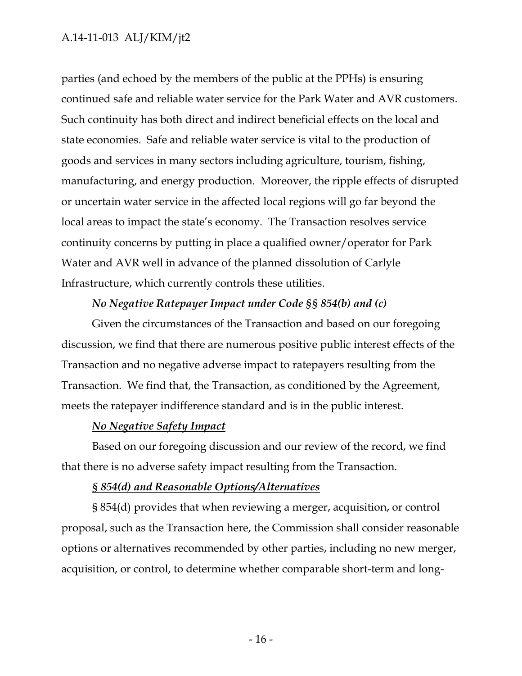parties (and echoed by the members of the public at the PPHs) is ensuring continued safe and reliable water service for the Park Water and AVR customers. Such continuity has both direct and indirect beneficial effects on the local and state economies. Safe and reliable water service is vital to the production of goods and services in many sectors including agriculture, tourism, fishing, manufacturing, and energy production. Moreover, the ripple effects of disrupted or uncertain water service in the affected local regions will go far beyond the local areas to impact the state's economy. The Transaction resolves service continuity concerns by putting in place a qualified owner/operator for Park Water and AVR well in advance of the planned dissolution of Carlyle Infrastructure, which currently controls these utilities.

## *No Negative Ratepayer Impact under Code §§ 854(b) and (c)*

Given the circumstances of the Transaction and based on our foregoing discussion, we find that there are numerous positive public interest effects of the Transaction and no negative adverse impact to ratepayers resulting from the Transaction. We find that, the Transaction, as conditioned by the Agreement, meets the ratepayer indifference standard and is in the public interest.

## *No Negative Safety Impact*

Based on our foregoing discussion and our review of the record, we find that there is no adverse safety impact resulting from the Transaction.

## *§ 854(d) and Reasonable Options/Alternatives*

§ 854(d) provides that when reviewing a merger, acquisition, or control proposal, such as the Transaction here, the Commission shall consider reasonable options or alternatives recommended by other parties, including no new merger, acquisition, or control, to determine whether comparable short-term and long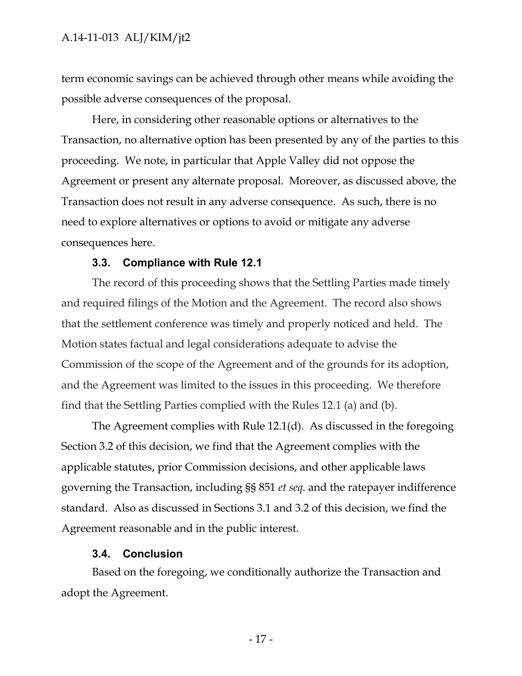term economic savings can be achieved through other means while avoiding the possible adverse consequences of the proposal.

Here, in considering other reasonable options or alternatives to the Transaction, no alternative option has been presented by any of the parties to this proceeding. We note, in particular that Apple Valley did not oppose the Agreement or present any alternate proposal. Moreover, as discussed above, the Transaction does not result in any adverse consequence. As such, there is no need to explore alternatives or options to avoid or mitigate any adverse consequences here.

## **3.3. Compliance with Rule 12.1**

<span id="page-17-0"></span>The record of this proceeding shows that the Settling Parties made timely and required filings of the Motion and the Agreement. The record also shows that the settlement conference was timely and properly noticed and held. The Motion states factual and legal considerations adequate to advise the Commission of the scope of the Agreement and of the grounds for its adoption, and the Agreement was limited to the issues in this proceeding. We therefore find that the Settling Parties complied with the Rules 12.1 (a) and (b).

The Agreement complies with Rule 12.1(d). As discussed in the foregoing Section 3.2 of this decision, we find that the Agreement complies with the applicable statutes, prior Commission decisions, and other applicable laws governing the Transaction, including §§ 851 *et seq.* and the ratepayer indifference standard. Also as discussed in Sections 3.1 and 3.2 of this decision, we find the Agreement reasonable and in the public interest.

#### **3.4. Conclusion**

<span id="page-17-1"></span>Based on the foregoing, we conditionally authorize the Transaction and adopt the Agreement.

- 17 -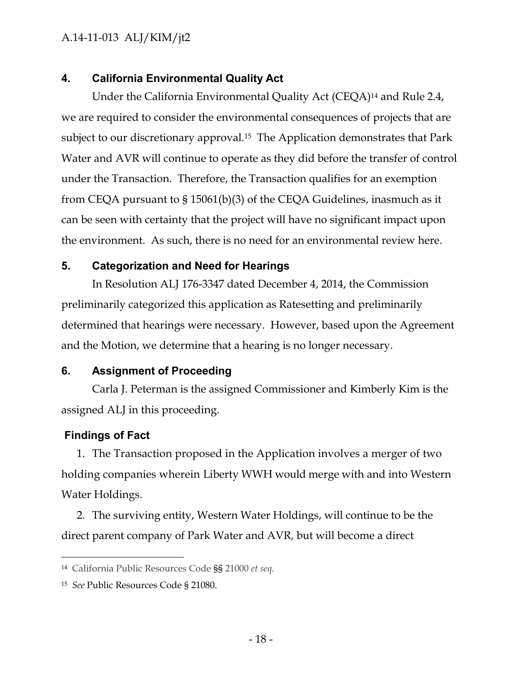## <span id="page-18-0"></span>**4. California Environmental Quality Act**

Under the California Environmental Quality Act (CEQA)<sup>14</sup> and Rule 2.4, we are required to consider the environmental consequences of projects that are subject to our discretionary approval.<sup>15</sup> The Application demonstrates that Park Water and AVR will continue to operate as they did before the transfer of control under the Transaction. Therefore, the Transaction qualifies for an exemption from CEQA pursuant to § 15061(b)(3) of the CEQA Guidelines, inasmuch as it can be seen with certainty that the project will have no significant impact upon the environment. As such, there is no need for an environmental review here.

## <span id="page-18-1"></span>**5. Categorization and Need for Hearings**

In Resolution ALJ 176-3347 dated December 4, 2014, the Commission preliminarily categorized this application as Ratesetting and preliminarily determined that hearings were necessary. However, based upon the Agreement and the Motion, we determine that a hearing is no longer necessary.

## <span id="page-18-2"></span>**6. Assignment of Proceeding**

Carla J. Peterman is the assigned Commissioner and Kimberly Kim is the assigned ALJ in this proceeding.

## <span id="page-18-3"></span>**Findings of Fact**

 $\overline{a}$ 

1. The Transaction proposed in the Application involves a merger of two holding companies wherein Liberty WWH would merge with and into Western Water Holdings.

2. The surviving entity, Western Water Holdings, will continue to be the direct parent company of Park Water and AVR, but will become a direct

<sup>14</sup> California Public Resources Code §§ 21000 *et seq.*

<sup>15</sup> *See* Public Resources Code § 21080.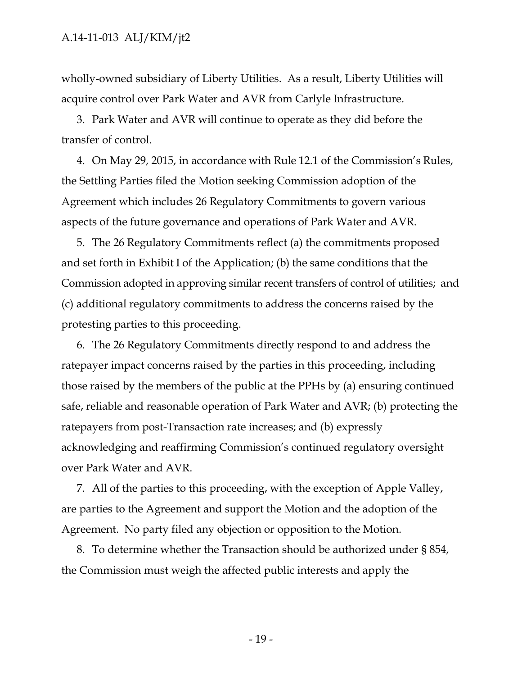wholly-owned subsidiary of Liberty Utilities. As a result, Liberty Utilities will acquire control over Park Water and AVR from Carlyle Infrastructure.

3. Park Water and AVR will continue to operate as they did before the transfer of control.

4. On May 29, 2015, in accordance with Rule 12.1 of the Commission's Rules, the Settling Parties filed the Motion seeking Commission adoption of the Agreement which includes 26 Regulatory Commitments to govern various aspects of the future governance and operations of Park Water and AVR.

5. The 26 Regulatory Commitments reflect (a) the commitments proposed and set forth in Exhibit I of the Application; (b) the same conditions that the Commission adopted in approving similar recent transfers of control of utilities; and (c) additional regulatory commitments to address the concerns raised by the protesting parties to this proceeding.

6. The 26 Regulatory Commitments directly respond to and address the ratepayer impact concerns raised by the parties in this proceeding, including those raised by the members of the public at the PPHs by (a) ensuring continued safe, reliable and reasonable operation of Park Water and AVR; (b) protecting the ratepayers from post-Transaction rate increases; and (b) expressly acknowledging and reaffirming Commission's continued regulatory oversight over Park Water and AVR.

7. All of the parties to this proceeding, with the exception of Apple Valley, are parties to the Agreement and support the Motion and the adoption of the Agreement. No party filed any objection or opposition to the Motion.

8. To determine whether the Transaction should be authorized under § 854, the Commission must weigh the affected public interests and apply the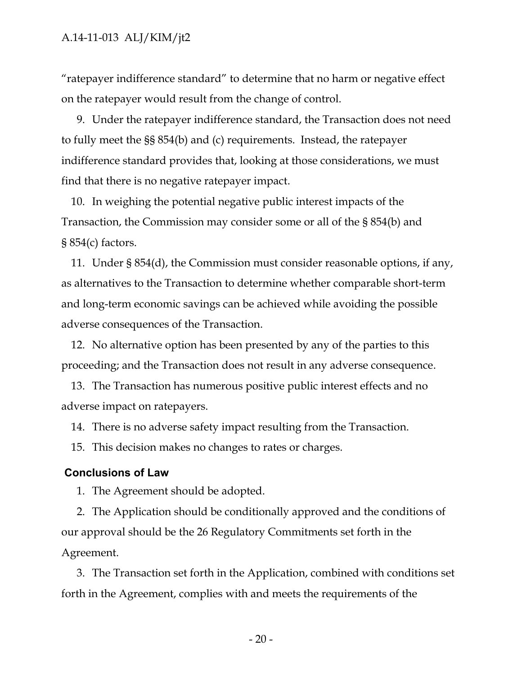"ratepayer indifference standard" to determine that no harm or negative effect on the ratepayer would result from the change of control.

9. Under the ratepayer indifference standard, the Transaction does not need to fully meet the §§ 854(b) and (c) requirements. Instead, the ratepayer indifference standard provides that, looking at those considerations, we must find that there is no negative ratepayer impact.

10. In weighing the potential negative public interest impacts of the Transaction, the Commission may consider some or all of the § 854(b) and § 854(c) factors.

11. Under § 854(d), the Commission must consider reasonable options, if any, as alternatives to the Transaction to determine whether comparable short-term and long-term economic savings can be achieved while avoiding the possible adverse consequences of the Transaction.

12. No alternative option has been presented by any of the parties to this proceeding; and the Transaction does not result in any adverse consequence.

13. The Transaction has numerous positive public interest effects and no adverse impact on ratepayers.

14. There is no adverse safety impact resulting from the Transaction.

15. This decision makes no changes to rates or charges.

#### <span id="page-20-0"></span>**Conclusions of Law**

1. The Agreement should be adopted.

2. The Application should be conditionally approved and the conditions of our approval should be the 26 Regulatory Commitments set forth in the Agreement.

3. The Transaction set forth in the Application, combined with conditions set forth in the Agreement, complies with and meets the requirements of the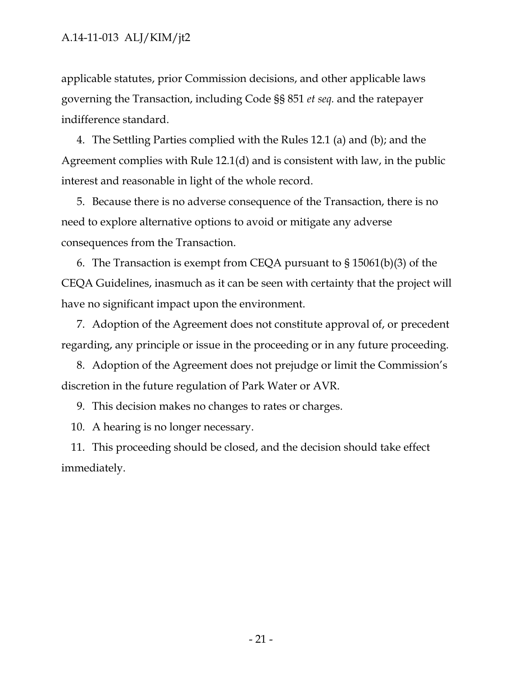applicable statutes, prior Commission decisions, and other applicable laws governing the Transaction, including Code §§ 851 *et seq.* and the ratepayer indifference standard.

4. The Settling Parties complied with the Rules 12.1 (a) and (b); and the Agreement complies with Rule 12.1(d) and is consistent with law, in the public interest and reasonable in light of the whole record.

5. Because there is no adverse consequence of the Transaction, there is no need to explore alternative options to avoid or mitigate any adverse consequences from the Transaction.

6. The Transaction is exempt from CEQA pursuant to § 15061(b)(3) of the CEQA Guidelines, inasmuch as it can be seen with certainty that the project will have no significant impact upon the environment.

7. Adoption of the Agreement does not constitute approval of, or precedent regarding, any principle or issue in the proceeding or in any future proceeding.

8. Adoption of the Agreement does not prejudge or limit the Commission's discretion in the future regulation of Park Water or AVR.

9. This decision makes no changes to rates or charges.

10. A hearing is no longer necessary.

11. This proceeding should be closed, and the decision should take effect immediately.